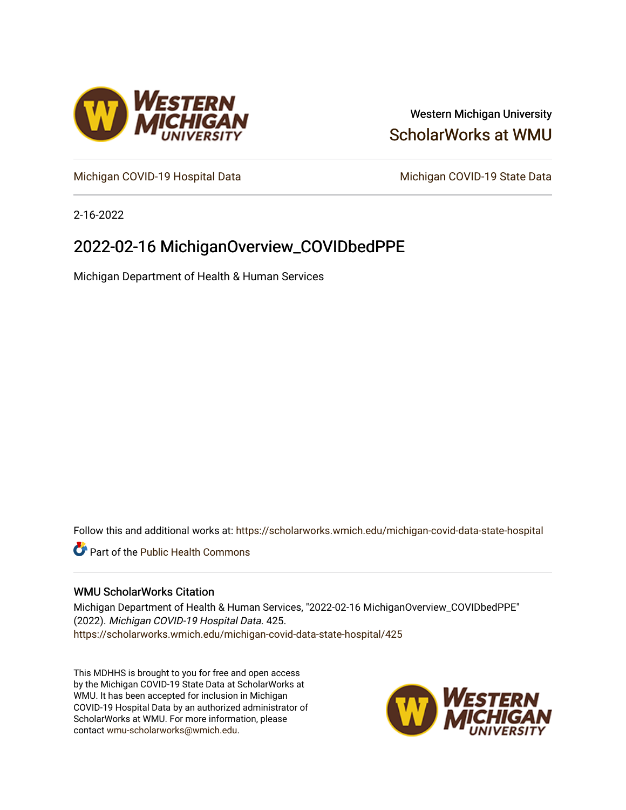

# Western Michigan University [ScholarWorks at WMU](https://scholarworks.wmich.edu/)

[Michigan COVID-19 Hospital Data](https://scholarworks.wmich.edu/michigan-covid-data-state-hospital) Michigan COVID-19 State Data

2-16-2022

# 2022-02-16 MichiganOverview\_COVIDbedPPE

Michigan Department of Health & Human Services

Follow this and additional works at: [https://scholarworks.wmich.edu/michigan-covid-data-state-hospital](https://scholarworks.wmich.edu/michigan-covid-data-state-hospital?utm_source=scholarworks.wmich.edu%2Fmichigan-covid-data-state-hospital%2F425&utm_medium=PDF&utm_campaign=PDFCoverPages) 

**Part of the Public Health Commons** 

## WMU ScholarWorks Citation

Michigan Department of Health & Human Services, "2022-02-16 MichiganOverview\_COVIDbedPPE" (2022). Michigan COVID-19 Hospital Data. 425. [https://scholarworks.wmich.edu/michigan-covid-data-state-hospital/425](https://scholarworks.wmich.edu/michigan-covid-data-state-hospital/425?utm_source=scholarworks.wmich.edu%2Fmichigan-covid-data-state-hospital%2F425&utm_medium=PDF&utm_campaign=PDFCoverPages) 

This MDHHS is brought to you for free and open access by the Michigan COVID-19 State Data at ScholarWorks at WMU. It has been accepted for inclusion in Michigan COVID-19 Hospital Data by an authorized administrator of ScholarWorks at WMU. For more information, please contact [wmu-scholarworks@wmich.edu](mailto:wmu-scholarworks@wmich.edu).

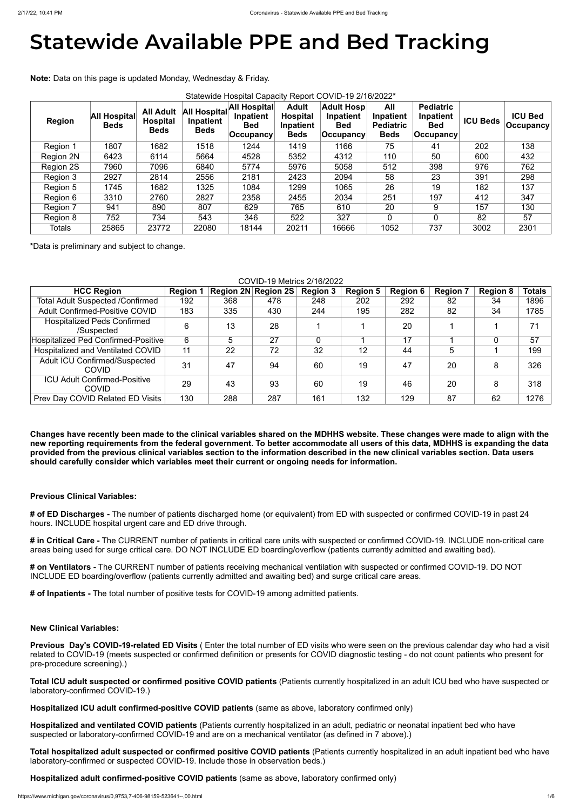# **Statewide Available PPE and Bed Tracking**

**Note:** Data on this page is updated Monday, Wednesday & Friday.

| Statewide Hospital Capacity Report COVID-19 2/16/2022* |                                    |                                                    |                                          |                                                |                                                             |                                                             |                                                     |                                                                 |                 |                                    |
|--------------------------------------------------------|------------------------------------|----------------------------------------------------|------------------------------------------|------------------------------------------------|-------------------------------------------------------------|-------------------------------------------------------------|-----------------------------------------------------|-----------------------------------------------------------------|-----------------|------------------------------------|
| <b>Region</b>                                          | <b>All Hospital</b><br><b>Beds</b> | <b>All Adult</b><br><b>Hospital</b><br><b>Beds</b> | All Hospital<br>Inpatient<br><b>Beds</b> | <b>All Hospital</b><br>Inpatient<br><b>Bed</b> | <b>Adult</b><br><b>Hospital</b><br>Inpatient<br><b>Beds</b> | <b>Adult Hosp</b><br>Inpatient<br><b>Bed</b><br>∣Occupancy∣ | All<br>Inpatient<br><b>Pediatric</b><br><b>Beds</b> | <b>Pediatric</b><br>Inpatient<br><b>Bed</b><br><b>Occupancy</b> | <b>ICU Beds</b> | <b>ICU Bed</b><br><b>Occupancy</b> |
| Region 1                                               | 1807                               | 1682                                               | 1518                                     | 1244                                           | 1419                                                        | 1166                                                        | 75                                                  | 41                                                              | 202             | 138                                |
| Region 2N                                              | 6423                               | 6114                                               | 5664                                     | 4528                                           | 5352                                                        | 4312                                                        | 110                                                 | 50                                                              | 600             | 432                                |
| Region 2S                                              | 7960                               | 7096                                               | 6840                                     | 5774                                           | 5976                                                        | 5058                                                        | 512                                                 | 398                                                             | 976             | 762                                |
| Region 3                                               | 2927                               | 2814                                               | 2556                                     | 2181                                           | 2423                                                        | 2094                                                        | 58                                                  | 23                                                              | 391             | 298                                |
| Region 5                                               | 1745                               | 1682                                               | 1325                                     | 1084                                           | 1299                                                        | 1065                                                        | 26                                                  | 19                                                              | 182             | 137                                |
| Region 6                                               | 3310                               | 2760                                               | 2827                                     | 2358                                           | 2455                                                        | 2034                                                        | 251                                                 | 197                                                             | 412             | 347                                |
| Region 7                                               | 941                                | 890                                                | 807                                      | 629                                            | 765                                                         | 610                                                         | 20                                                  | 9                                                               | 157             | 130                                |
| Region 8                                               | 752                                | 734                                                | 543                                      | 346                                            | 522                                                         | 327                                                         | $\overline{0}$                                      | 0                                                               | 82              | 57                                 |
| <b>Totals</b>                                          | 25865                              | 23772                                              | 22080                                    | 18144                                          | 20211                                                       | 16666                                                       | 1052                                                | 737                                                             | 3002            | 2301                               |

\*Data is preliminary and subject to change.

COVID-19 Metrics 2/16/2022

| <u>UUVIDETU MEINUS ZITUIZUZZ</u>                     |                 |     |                            |                 |                 |                 |                 |                 |               |
|------------------------------------------------------|-----------------|-----|----------------------------|-----------------|-----------------|-----------------|-----------------|-----------------|---------------|
| <b>HCC Region</b>                                    | <b>Region 1</b> |     | <b>Region 2N Region 2S</b> | <b>Region 3</b> | <b>Region 5</b> | <b>Region 6</b> | <b>Region 7</b> | <b>Region 8</b> | <b>Totals</b> |
| <b>Total Adult Suspected /Confirmed</b>              | 192             | 368 | 478                        | 248             | 202             | 292             | 82              | 34              | 1896          |
| <b>Adult Confirmed-Positive COVID</b>                | 183             | 335 | 430                        | 244             | 195             | 282             | 82              | 34              | 1785          |
| <b>Hospitalized Peds Confirmed</b><br>/Suspected     | 6               | 13  | 28                         |                 |                 | 20              |                 |                 | 71            |
| Hospitalized Ped Confirmed-Positive                  | 6               | 5   | 27                         |                 |                 | 17              |                 |                 | 57            |
| Hospitalized and Ventilated COVID                    | 11              | 22  | 72                         | 32              | 12              | 44              | 5               |                 | 199           |
| <b>Adult ICU Confirmed/Suspected</b><br><b>COVID</b> | 31              | 47  | 94                         | 60              | 19              | 47              | 20              | 8               | 326           |
| <b>ICU Adult Confirmed-Positive</b><br><b>COVID</b>  | 29              | 43  | 93                         | 60              | 19              | 46              | 20              | 8               | 318           |
| <b>Prev Day COVID Related ED Visits</b>              | 130             | 288 | 287                        | 161             | 132             | 129             | 87              | 62              | 1276          |

**Changes have recently been made to the clinical variables shared on the MDHHS website. These changes were made to align with the new reporting requirements from the federal government. To better accommodate all users of this data, MDHHS is expanding the data provided from the previous clinical variables section to the information described in the new clinical variables section. Data users should carefully consider which variables meet their current or ongoing needs for information.**

# **Previous Clinical Variables:**

**# of ED Discharges -** The number of patients discharged home (or equivalent) from ED with suspected or confirmed COVID-19 in past 24 hours. INCLUDE hospital urgent care and ED drive through.

**# in Critical Care -** The CURRENT number of patients in critical care units with suspected or confirmed COVID-19. INCLUDE non-critical care areas being used for surge critical care. DO NOT INCLUDE ED boarding/overflow (patients currently admitted and awaiting bed).

**# on Ventilators -** The CURRENT number of patients receiving mechanical ventilation with suspected or confirmed COVID-19. DO NOT INCLUDE ED boarding/overflow (patients currently admitted and awaiting bed) and surge critical care areas.

**# of Inpatients -** The total number of positive tests for COVID-19 among admitted patients.

## **New Clinical Variables:**

**Previous Day's COVID-19-related ED Visits** ( Enter the total number of ED visits who were seen on the previous calendar day who had a visit related to COVID-19 (meets suspected or confirmed definition or presents for COVID diagnostic testing - do not count patients who present for pre-procedure screening).)

**Total ICU adult suspected or confirmed positive COVID patients** (Patients currently hospitalized in an adult ICU bed who have suspected or laboratory-confirmed COVID-19.)

**Hospitalized ICU adult confirmed-positive COVID patients** (same as above, laboratory confirmed only)

**Hospitalized and ventilated COVID patients** (Patients currently hospitalized in an adult, pediatric or neonatal inpatient bed who have suspected or laboratory-confirmed COVID-19 and are on a mechanical ventilator (as defined in 7 above).)

**Total hospitalized adult suspected or confirmed positive COVID patients** (Patients currently hospitalized in an adult inpatient bed who have laboratory-confirmed or suspected COVID-19. Include those in observation beds.)

**Hospitalized adult confirmed-positive COVID patients** (same as above, laboratory confirmed only)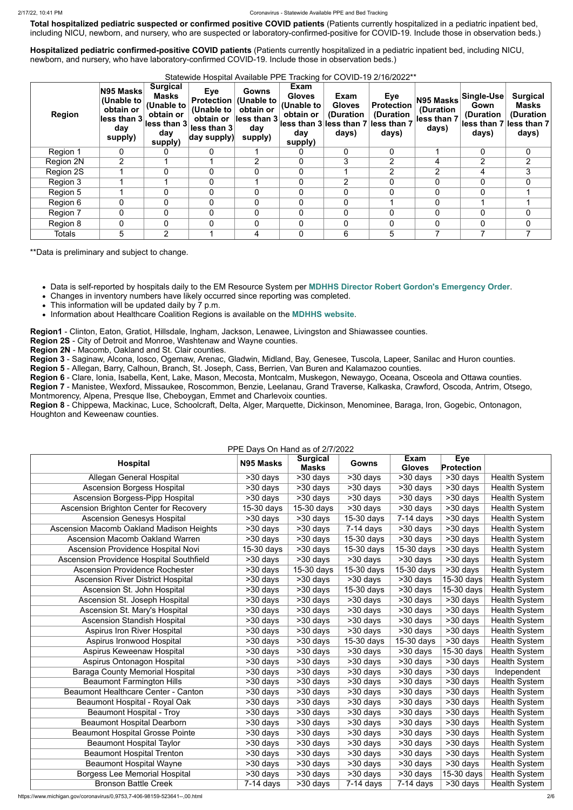**Total hospitalized pediatric suspected or confirmed positive COVID patients** (Patients currently hospitalized in a pediatric inpatient bed, including NICU, newborn, and nursery, who are suspected or laboratory-confirmed-positive for COVID-19. Include those in observation beds.)

**Hospitalized pediatric confirmed-positive COVID patients** (Patients currently hospitalized in a pediatric inpatient bed, including NICU, newborn, and nursery, who have laboratory-confirmed COVID-19. Include those in observation beds.)

| Region           | N95 Masks<br>(Unable to<br>obtain or<br>less than 3<br>day<br>supply) | <b>Surgical</b><br>Masks<br>(Unable to<br>obtain or<br>lless than 3<br>day<br>supply) | <b>Eye</b><br><b>Protection</b><br>(Unable to<br>obtain or<br>less than 3<br>$\vert$ day supply) $\vert$ | Gowns<br>(Unable to<br>obtain or<br>less than 3<br>day<br>supply) | Exam<br><b>Gloves</b><br>(Unable to<br>obtain or<br>day<br>supply) | Exam<br><b>Gloves</b><br>(Duration<br>$\vert$ less than 3 $\vert$ less than 7 $\vert$ less than 7<br>days) | <b>Eye</b><br><b>Protection</b><br>(Duration<br>days) | N95 Masks<br>(Duration<br>less than 7<br>days) | <b>Single-Use</b><br>Gown<br>(Duration<br>days) | <b>Surgical</b><br><b>Masks</b><br>(Duration<br>less than 7 less than 7<br>days) |
|------------------|-----------------------------------------------------------------------|---------------------------------------------------------------------------------------|----------------------------------------------------------------------------------------------------------|-------------------------------------------------------------------|--------------------------------------------------------------------|------------------------------------------------------------------------------------------------------------|-------------------------------------------------------|------------------------------------------------|-------------------------------------------------|----------------------------------------------------------------------------------|
| Region 1         | 0                                                                     | 0                                                                                     | $\overline{0}$                                                                                           |                                                                   | $\mathbf 0$                                                        | $\overline{0}$                                                                                             | $\overline{0}$                                        |                                                | $\overline{0}$                                  | $\mathbf{0}$                                                                     |
| <b>Region 2N</b> | $\overline{2}$                                                        |                                                                                       |                                                                                                          | $\overline{2}$                                                    | $\mathbf 0$                                                        | 3                                                                                                          | $\overline{2}$                                        | 4                                              | $\overline{2}$                                  | 2                                                                                |
| Region 2S        |                                                                       | 0                                                                                     | 0                                                                                                        | 0                                                                 | $\overline{0}$                                                     |                                                                                                            | $\overline{2}$                                        | 2                                              | 4                                               | 3                                                                                |
| Region 3         |                                                                       |                                                                                       | $\overline{0}$                                                                                           |                                                                   | $\Omega$                                                           | 2                                                                                                          | $\Omega$                                              | $\overline{0}$                                 | $\Omega$                                        | 0                                                                                |
| Region 5         |                                                                       | 0                                                                                     | 0                                                                                                        | $\mathbf 0$                                                       | $\mathbf{0}$                                                       | 0                                                                                                          | $\Omega$                                              | $\overline{0}$                                 |                                                 |                                                                                  |
| Region 6         | 0                                                                     | 0                                                                                     | 0                                                                                                        | 0                                                                 | $\overline{0}$                                                     | 0                                                                                                          |                                                       | $\mathbf 0$                                    |                                                 |                                                                                  |
| Region 7         | 0                                                                     | $\overline{0}$                                                                        | 0                                                                                                        | 0                                                                 | $\Omega$                                                           | $\Omega$                                                                                                   | $\overline{0}$                                        | $\overline{0}$                                 | $\Omega$                                        | 0                                                                                |
| Region 8         | 0                                                                     | $\overline{0}$                                                                        | 0                                                                                                        | 0                                                                 | $\mathbf 0$                                                        | 0                                                                                                          | $\overline{0}$                                        | $\overline{0}$                                 | $\mathbf{0}$                                    | 0                                                                                |
| <b>Totals</b>    | 5                                                                     | $\overline{2}$                                                                        |                                                                                                          | 4                                                                 | $\Omega$                                                           | 6                                                                                                          | $5\overline{)}$                                       |                                                |                                                 |                                                                                  |

Statewide Hospital Available PPE Tracking for COVID-19 2/16/2022\*\*

\*\*Data is preliminary and subject to change.

Data is self-reported by hospitals daily to the EM Resource System per **[MDHHS Director Robert Gordon's Emergency Order](https://www.michigan.gov/documents/coronavirus/MDHHS_epidemic_reporting_order_and_instructions_684709_7.pdf)**.

Changes in inventory numbers have likely occurred since reporting was completed.

• This information will be updated daily by 7 p.m.

Information about Healthcare Coalition Regions is available on the **[MDHHS website](https://www.michigan.gov/mdhhs/0,5885,7-339-71548_54783_54826_56171-237197--,00.html#hcc)**.

**Region1** - Clinton, Eaton, Gratiot, Hillsdale, Ingham, Jackson, Lenawee, Livingston and Shiawassee counties.

**Region 2S** - City of Detroit and Monroe, Washtenaw and Wayne counties.

**Region 2N** - Macomb, Oakland and St. Clair counties.

**Region 3** - Saginaw, Alcona, Iosco, Ogemaw, Arenac, Gladwin, Midland, Bay, Genesee, Tuscola, Lapeer, Sanilac and Huron counties.

**Region 5** - Allegan, Barry, Calhoun, Branch, St. Joseph, Cass, Berrien, Van Buren and Kalamazoo counties.

**Region 6** - Clare, Ionia, Isabella, Kent, Lake, Mason, Mecosta, Montcalm, Muskegon, Newaygo, Oceana, Osceola and Ottawa counties.

**Region 7** - Manistee, Wexford, Missaukee, Roscommon, Benzie, Leelanau, Grand Traverse, Kalkaska, Crawford, Oscoda, Antrim, Otsego, Montmorency, Alpena, Presque Ilse, Cheboygan, Emmet and Charlevoix counties.

**Region 8** - Chippewa, Mackinac, Luce, Schoolcraft, Delta, Alger, Marquette, Dickinson, Menominee, Baraga, Iron, Gogebic, Ontonagon, Houghton and Keweenaw counties.

PPE Days On Hand as of 2/7/2022

|                                                 | $\frac{1}{2}$ L Days On Hand as of $\frac{1}{2}$ Hz 022 | <b>Surgical</b>       |                          | Exam                  | Eye                                |                      |
|-------------------------------------------------|---------------------------------------------------------|-----------------------|--------------------------|-----------------------|------------------------------------|----------------------|
| <b>Hospital</b>                                 | N95 Masks                                               | <b>Masks</b>          | Gowns                    | <b>Gloves</b>         | <b>Protection</b>                  |                      |
| Allegan General Hospital                        | $>30$ days                                              | >30 days              | $>30$ days               | >30 days              | >30 days                           | <b>Health System</b> |
| <b>Ascension Borgess Hospital</b>               | >30 days                                                | >30 days              | $>30$ days               | >30 days              | >30 days                           | <b>Health System</b> |
| <b>Ascension Borgess-Pipp Hospital</b>          | $\overline{>30}$ days                                   | >30 days              | $>30$ days               | >30 days              | >30 days                           | <b>Health System</b> |
| Ascension Brighton Center for Recovery          | 15-30 days                                              | 15-30 days            | >30 days                 | >30 days              | >30 days                           | <b>Health System</b> |
| <b>Ascension Genesys Hospital</b>               | >30 days                                                | >30 days              | 15-30 days               | $7-14$ days           | >30 days                           | <b>Health System</b> |
| Ascension Macomb Oakland Madison Heights        | >30 days                                                | >30 days              | $7-14$ days              | >30 days              | >30 days                           | <b>Health System</b> |
| <b>Ascension Macomb Oakland Warren</b>          | >30 days                                                | >30 days              | $15-30$ days             | >30 days              | $\overline{\phantom{1}}$ > 30 days | <b>Health System</b> |
| <b>Ascension Providence Hospital Novi</b>       | 15-30 days                                              | $\overline{>30}$ days | 15-30 days               | 15-30 days            | $\overline{>30}$ days              | <b>Health System</b> |
| <b>Ascension Providence Hospital Southfield</b> | >30 days                                                | $>30$ days            | $>30$ days               | >30 days              | $\overline{\phantom{1}}$ > 30 days | <b>Health System</b> |
| <b>Ascension Providence Rochester</b>           | >30 days                                                | 15-30 days            | 15-30 days               | 15-30 days            | >30 days                           | <b>Health System</b> |
| <b>Ascension River District Hospital</b>        | $>30$ days                                              | $>30$ days            | >30 days                 | >30 days              | $15-30$ days                       | <b>Health System</b> |
| Ascension St. John Hospital                     | >30 days                                                | >30 days              | 15-30 days               | $\overline{>30}$ days | 15-30 days                         | <b>Health System</b> |
| Ascension St. Joseph Hospital                   | >30 days                                                | >30 days              | >30 days                 | >30 days              | >30 days                           | <b>Health System</b> |
| Ascension St. Mary's Hospital                   | >30 days                                                | >30 days              | >30 days                 | >30 days              | >30 days                           | <b>Health System</b> |
| <b>Ascension Standish Hospital</b>              | >30 days                                                | $>30$ days            | $>30$ days               | >30 days              | $\overline{\phantom{1}}$ > 30 days | <b>Health System</b> |
| <b>Aspirus Iron River Hospital</b>              | >30 days                                                | >30 days              | >30 days                 | >30 days              | $\overline{>30}$ days              | <b>Health System</b> |
| Aspirus Ironwood Hospital                       | >30 days                                                | $\overline{>30}$ days | $\overline{15}$ -30 days | 15-30 days            | $\overline{\phantom{1}}$ > 30 days | <b>Health System</b> |
| Aspirus Keweenaw Hospital                       | >30 days                                                | $\overline{>30}$ days | >30 days                 | >30 days              | $15-30$ days                       | <b>Health System</b> |
| Aspirus Ontonagon Hospital                      | >30 days                                                | >30 days              | >30 days                 | >30 days              | >30 days                           | <b>Health System</b> |
| <b>Baraga County Memorial Hospital</b>          | >30 days                                                | $>30$ days            | >30 days                 | $>30$ days            | >30 days                           | Independent          |
| <b>Beaumont Farmington Hills</b>                | >30 days                                                | >30 days              | >30 days                 | >30 days              | >30 days                           | <b>Health System</b> |
| Beaumont Healthcare Center - Canton             | >30 days                                                | >30 days              | >30 days                 | >30 days              | >30 days                           | <b>Health System</b> |
| <b>Beaumont Hospital - Royal Oak</b>            | >30 days                                                | $>30$ days            | >30 days                 | >30 days              | $>30$ days                         | <b>Health System</b> |
| <b>Beaumont Hospital - Troy</b>                 | >30 days                                                | >30 days              | >30 days                 | >30 days              | >30 days                           | <b>Health System</b> |
| <b>Beaumont Hospital Dearborn</b>               | >30 days                                                | >30 days              | >30 days                 | >30 days              | >30 days                           | <b>Health System</b> |
| <b>Beaumont Hospital Grosse Pointe</b>          | >30 days                                                | >30 days              | $>30$ days               | >30 days              | >30 days                           | <b>Health System</b> |
| <b>Beaumont Hospital Taylor</b>                 | >30 days                                                | $>30$ days            | >30 days                 | $>30$ days            | >30 days                           | <b>Health System</b> |
| <b>Beaumont Hospital Trenton</b>                | >30 days                                                | >30 days              | >30 days                 | >30 days              | >30 days                           | <b>Health System</b> |
| <b>Beaumont Hospital Wayne</b>                  | >30 days                                                | >30 days              | >30 days                 | >30 days              | >30 days                           | <b>Health System</b> |
| <b>Borgess Lee Memorial Hospital</b>            | >30 days                                                | >30 days              | >30 days                 | >30 days              | 15-30 days                         | <b>Health System</b> |
| <b>Bronson Battle Creek</b>                     | $7-14$ days                                             | >30 days              | $7-14$ days              | $7-14$ days           | >30 days                           | <b>Health System</b> |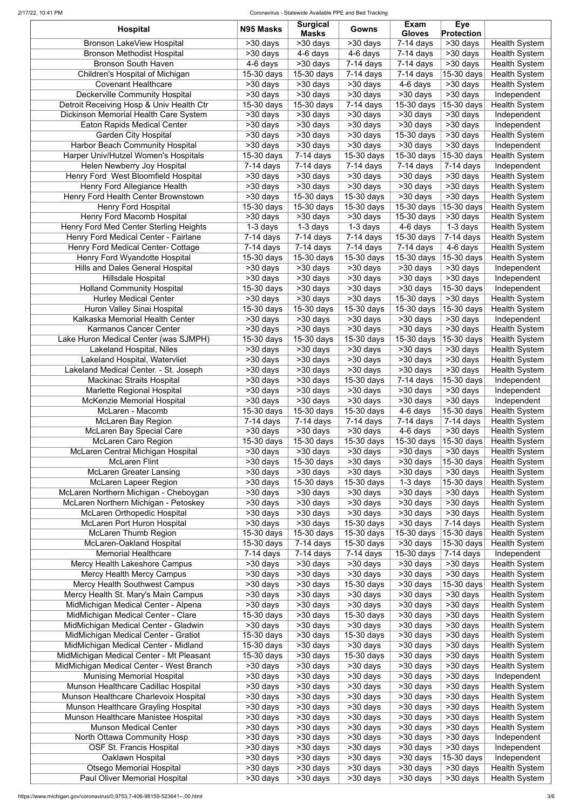#### 2/17/22, 10:41 PM Coronavirus - Statewide Available PPE and Bed Tracking

| <b>Hospital</b>                                                                   | N95 Masks                            | <b>Surgical</b><br><b>Masks</b>        | Gowns                      | Exam<br><b>Gloves</b>     | <b>Eye</b><br><b>Protection</b>         |                                              |
|-----------------------------------------------------------------------------------|--------------------------------------|----------------------------------------|----------------------------|---------------------------|-----------------------------------------|----------------------------------------------|
| <b>Bronson LakeView Hospital</b>                                                  | >30 days                             | $>30$ days                             | >30 days                   | $7-14$ days               | $\overline{>}30$ days                   | <b>Health System</b>                         |
| <b>Bronson Methodist Hospital</b>                                                 | $\overline{>30}$ days                | 4-6 days                               | 4-6 days                   | $7-14$ days               | $\overline{\phantom{1}}$ > 30 days      | <b>Health System</b>                         |
| <b>Bronson South Haven</b>                                                        | 4-6 days                             | >30 days                               | $7-14$ days                | $7-14$ days               | >30 days                                | <b>Health System</b>                         |
| Children's Hospital of Michigan                                                   | 15-30 days                           | 15-30 days                             | $7-14$ days                | $7-14$ days               | 15-30 days                              | <b>Health System</b>                         |
| <b>Covenant Healthcare</b>                                                        | >30 days                             | >30 days                               | >30 days                   | 4-6 days                  | >30 days                                | <b>Health System</b>                         |
| Deckerville Community Hospital                                                    | >30 days                             | >30 days                               | >30 days                   | >30 days                  | >30 days                                | Independent                                  |
| Detroit Receiving Hosp & Univ Health Ctr                                          | 15-30 days                           | 15-30 days                             | $7-14$ days                | 15-30 days                | 15-30 days                              | <b>Health System</b>                         |
| Dickinson Memorial Health Care System<br><b>Eaton Rapids Medical Center</b>       | >30 days                             | >30 days<br>>30 days                   | >30 days<br>>30 days       | >30 days<br>>30 days      | >30 days<br>>30 days                    | Independent<br>Independent                   |
| <b>Garden City Hospital</b>                                                       | >30 days<br>>30 days                 | >30 days                               | >30 days                   | 15-30 days                | >30 days                                | <b>Health System</b>                         |
| <b>Harbor Beach Community Hospital</b>                                            | >30 days                             | >30 days                               | >30 days                   | >30 days                  | >30 days                                | Independent                                  |
| Harper Univ/Hutzel Women's Hospitals                                              | 15-30 days                           | $7-14$ days                            | 15-30 days                 | 15-30 days                | 15-30 days                              | <b>Health System</b>                         |
| Helen Newberry Joy Hospital                                                       | $7-14$ days                          | $7-14$ days                            | $7-14$ days                | $7-14$ days               | $7-14$ days                             | Independent                                  |
| Henry Ford West Bloomfield Hospital                                               | >30 days                             | >30 days                               | >30 days                   | >30 days                  | >30 days                                | <b>Health System</b>                         |
| Henry Ford Allegiance Health                                                      | >30 days                             | >30 days                               | >30 days                   | >30 days                  | >30 days                                | <b>Health System</b>                         |
| Henry Ford Health Center Brownstown                                               | >30 days                             | 15-30 days                             | 15-30 days                 | >30 days                  | >30 days                                | <b>Health System</b>                         |
| <b>Henry Ford Hospital</b>                                                        | 15-30 days                           | 15-30 days                             | 15-30 days                 | 15-30 days                | 15-30 days                              | <b>Health System</b>                         |
| <b>Henry Ford Macomb Hospital</b>                                                 | >30 days                             | >30 days                               | >30 days                   | 15-30 days                | >30 days                                | <b>Health System</b>                         |
| Henry Ford Med Center Sterling Heights                                            | $\overline{1}$ -3 days               | $\overline{1}$ -3 days                 | $1-3$ days                 | $4-6$ days                | 1-3 days                                | <b>Health System</b>                         |
| Henry Ford Medical Center - Fairlane<br><b>Henry Ford Medical Center- Cottage</b> | $7-14$ days                          | $7-14$ days<br>$\overline{7}$ -14 days | $7-14$ days<br>$7-14$ days | 15-30 days<br>$7-14$ days | $7-14$ days<br>4-6 days                 | <b>Health System</b><br><b>Health System</b> |
| Henry Ford Wyandotte Hospital                                                     | $7-14$ days<br>15-30 days            | 15-30 days                             | 15-30 days                 | 15-30 days                | 15-30 days                              | <b>Health System</b>                         |
| <b>Hills and Dales General Hospital</b>                                           | >30 days                             | $>30$ days                             | >30 days                   | >30 days                  | >30 days                                | Independent                                  |
| <b>Hillsdale Hospital</b>                                                         | >30 days                             | >30 days                               | >30 days                   | >30 days                  | >30 days                                | Independent                                  |
| <b>Holland Community Hospital</b>                                                 | 15-30 days                           | >30 days                               | >30 days                   | >30 days                  | $15-30$ days                            | Independent                                  |
| <b>Hurley Medical Center</b>                                                      | >30 days                             | >30 days                               | >30 days                   | 15-30 days                | >30 days                                | <b>Health System</b>                         |
| Huron Valley Sinai Hospital                                                       | 15-30 days                           | $15-30$ days                           | 15-30 days                 | 15-30 days                | $15-30$ days                            | <b>Health System</b>                         |
| Kalkaska Memorial Health Center                                                   | $>30$ days                           | >30 days                               | >30 days                   | $\overline{>}30$ days     | $\overline{>}30$ days                   | Independent                                  |
| <b>Karmanos Cancer Center</b>                                                     | >30 days                             | >30 days                               | >30 days                   | $>30$ days                | >30 days                                | <b>Health System</b>                         |
| Lake Huron Medical Center (was SJMPH)                                             | 15-30 days                           | 15-30 days                             | 15-30 days                 | 15-30 days                | 15-30 days                              | <b>Health System</b>                         |
| <b>Lakeland Hospital, Niles</b>                                                   | >30 days                             | >30 days                               | >30 days                   | $>30$ days                | >30 days                                | <b>Health System</b>                         |
| Lakeland Hospital, Watervliet                                                     | >30 days                             | $>30$ days                             | >30 days                   | >30 days                  | >30 days                                | <b>Health System</b>                         |
| Lakeland Medical Center. - St. Joseph                                             | >30 days                             | >30 days                               | >30 days                   | >30 days                  | >30 days                                | <b>Health System</b>                         |
| <b>Mackinac Straits Hospital</b>                                                  | >30 days                             | >30 days                               | 15-30 days                 | $7-14$ days               | 15-30 days                              | Independent                                  |
| <b>Marlette Regional Hospital</b>                                                 | >30 days                             | >30 days                               | >30 days                   | >30 days                  | >30 days                                | Independent                                  |
| <b>McKenzie Memorial Hospital</b><br>McLaren - Macomb                             | >30 days<br>15-30 days               | >30 days<br>15-30 days                 | $>30$ days<br>15-30 days   | >30 days<br>4-6 days      | >30 days<br>15-30 days                  | Independent<br><b>Health System</b>          |
| <b>McLaren Bay Region</b>                                                         | $7-14$ days                          | $7-14$ days                            | $7-14$ days                | $7-14$ days               | $7-14$ days                             | <b>Health System</b>                         |
| <b>McLaren Bay Special Care</b>                                                   | >30 days                             | >30 days                               | >30 days                   | 4-6 days                  | >30 days                                | <b>Health System</b>                         |
| <b>McLaren Caro Region</b>                                                        | 15-30 days                           | 15-30 days                             | 15-30 days                 | 15-30 days                | 15-30 days                              | <b>Health System</b>                         |
| McLaren Central Michigan Hospital                                                 | >30 days                             | >30 days                               | >30 days                   | >30 days                  | >30 days                                | <b>Health System</b>                         |
| <b>McLaren Flint</b>                                                              | >30 days                             | 15-30 days                             | >30 days                   | >30 days                  | 15-30 days                              | <b>Health System</b>                         |
| <b>McLaren Greater Lansing</b>                                                    | >30 days                             | >30 days                               | >30 days                   | >30 days                  | >30 days                                | <b>Health System</b>                         |
| <b>McLaren Lapeer Region</b>                                                      | >30 days                             | 15-30 days                             | 15-30 days                 | $1-3$ days                | 15-30 days                              | <b>Health System</b>                         |
| McLaren Northern Michigan - Cheboygan                                             | >30 days                             | >30 days                               | >30 days                   | >30 days                  | >30 days                                | <b>Health System</b>                         |
| McLaren Northern Michigan - Petoskey                                              | >30 days                             | >30 days                               | >30 days                   | >30 days                  | >30 days                                | <b>Health System</b>                         |
| <b>McLaren Orthopedic Hospital</b>                                                | >30 days                             | >30 days                               | >30 days                   | >30 days                  | >30 days                                | <b>Health System</b>                         |
| McLaren Port Huron Hospital<br><b>McLaren Thumb Region</b>                        | >30 days<br>$\overline{15}$ -30 days | >30 days<br>15-30 days                 | 15-30 days<br>$15-30$ days | >30 days<br>15-30 days    | $\overline{7}$ -14 days<br>$15-30$ days | <b>Health System</b><br><b>Health System</b> |
| McLaren-Oakland Hospital                                                          | 15-30 days                           | $7-14$ days                            | 15-30 days                 | >30 days                  | 15-30 days                              | <b>Health System</b>                         |
| <b>Memorial Healthcare</b>                                                        | $7-14$ days                          | $7-14$ days                            | $\overline{7}$ -14 days    | 15-30 days                | $\overline{7}$ -14 days                 | Independent                                  |
| Mercy Health Lakeshore Campus                                                     | >30 days                             | >30 days                               | $>30$ days                 | >30 days                  | $\overline{\phantom{1}}$ > 30 days      | <b>Health System</b>                         |
| <b>Mercy Health Mercy Campus</b>                                                  | >30 days                             | >30 days                               | $>30$ days                 | $>30$ days                | >30 days                                | <b>Health System</b>                         |
| Mercy Health Southwest Campus                                                     | >30 days                             | >30 days                               | 15-30 days                 | >30 days                  | 15-30 days                              | <b>Health System</b>                         |
| Mercy Health St. Mary's Main Campus                                               | >30 days                             | >30 days                               | $>30$ days                 | $>30$ days                | $\overline{\phantom{1}}$ > 30 days      | <b>Health System</b>                         |
| MidMichigan Medical Center - Alpena                                               | >30 days                             | >30 days                               | >30 days                   | >30 days                  | $\overline{\phantom{1}}$ > 30 days      | <b>Health System</b>                         |
| MidMichigan Medical Center - Clare                                                | 15-30 days                           | >30 days                               | 15-30 days                 | >30 days                  | >30 days                                | <b>Health System</b>                         |
| MidMichigan Medical Center - Gladwin                                              | >30 days                             | $\overline{>}30$ days                  | >30 days                   | $\overline{>}30$ days     | $\overline{>30}$ days                   | <b>Health System</b>                         |
| MidMichigan Medical Center - Gratiot                                              | 15-30 days                           | $>30$ days                             | 15-30 days                 | $>30$ days                | $>30$ days                              | <b>Health System</b>                         |
| MidMichigan Medical Center - Midland                                              | 15-30 days                           | >30 days                               | >30 days                   | >30 days                  | >30 days                                | <b>Health System</b>                         |
| MidMichigan Medical Center - Mt Pleasant                                          | 15-30 days                           | >30 days                               | 15-30 days                 | $>30$ days                | >30 days                                | <b>Health System</b>                         |
| MidMichigan Medical Center - West Branch                                          | >30 days                             | >30 days                               | >30 days                   | >30 days                  | >30 days                                | <b>Health System</b>                         |
| <b>Munising Memorial Hospital</b><br>Munson Healthcare Cadillac Hospital          | >30 days<br>>30 days                 | >30 days<br>>30 days                   | >30 days<br>>30 days       | >30 days<br>>30 days      | >30 days<br>>30 days                    | Independent<br><b>Health System</b>          |
| Munson Healthcare Charlevoix Hospital                                             | >30 days                             | >30 days                               | >30 days                   | >30 days                  | >30 days                                | <b>Health System</b>                         |
| Munson Healthcare Grayling Hospital                                               | >30 days                             | >30 days                               | >30 days                   | >30 days                  | >30 days                                | <b>Health System</b>                         |
| Munson Healthcare Manistee Hospital                                               | >30 days                             | >30 days                               | >30 days                   | >30 days                  | >30 days                                | <b>Health System</b>                         |
| <b>Munson Medical Center</b>                                                      | >30 days                             | >30 days                               | >30 days                   | >30 days                  | >30 days                                | <b>Health System</b>                         |
| North Ottawa Community Hosp                                                       | >30 days                             | >30 days                               | >30 days                   | >30 days                  | >30 days                                | Independent                                  |
| <b>OSF St. Francis Hospital</b>                                                   | >30 days                             | >30 days                               | >30 days                   | >30 days                  | >30 days                                | Independent                                  |
| Oaklawn Hospital                                                                  | >30 days                             | >30 days                               | >30 days                   | >30 days                  | 15-30 days                              | Independent                                  |
| <b>Otsego Memorial Hospital</b>                                                   | >30 days                             | >30 days                               | >30 days                   | >30 days                  | >30 days                                | <b>Health System</b>                         |
| <b>Paul Oliver Memorial Hospital</b>                                              | >30 days                             | >30 days                               | >30 days                   | >30 days                  | >30 days                                | <b>Health System</b>                         |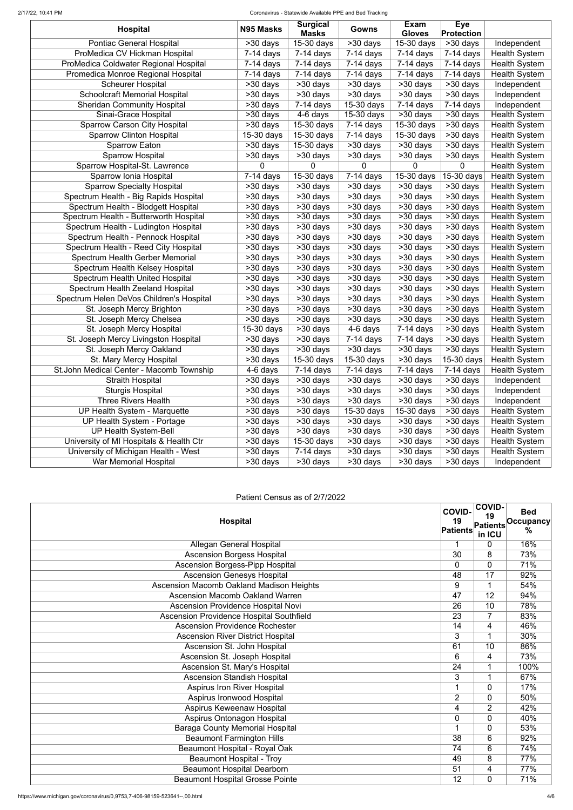### 2/17/22, 10:41 PM Coronavirus - Statewide Available PPE and Bed Tracking

| <b>Hospital</b>                          | N95 Masks                | <b>Surgical</b>              | Gowns                   | Exam                        | <b>Eye</b>                         |                      |
|------------------------------------------|--------------------------|------------------------------|-------------------------|-----------------------------|------------------------------------|----------------------|
| Pontiac General Hospital                 | $>30$ days               | <b>Masks</b><br>$15-30$ days | >30 days                | <b>Gloves</b><br>15-30 days | <b>Protection</b><br>>30 days      | Independent          |
| ProMedica CV Hickman Hospital            | $7-14$ days              | $\overline{7}$ -14 days      | $\overline{7}$ -14 days | $\overline{7}$ -14 days     | $\overline{7}$ -14 days            | <b>Health System</b> |
| ProMedica Coldwater Regional Hospital    | $7-14$ days              | $7-14$ days                  | $7-14$ days             | $7-14$ days                 | $7-14$ days                        | <b>Health System</b> |
|                                          |                          | $7-14$ days                  | $7-14$ days             |                             | $7-14$ days                        |                      |
| Promedica Monroe Regional Hospital       | $7-14$ days              |                              |                         | $7-14$ days                 |                                    | <b>Health System</b> |
| <b>Scheurer Hospital</b>                 | $>30$ days               | >30 days                     | >30 days                | >30 days                    | >30 days                           | Independent          |
| <b>Schoolcraft Memorial Hospital</b>     | >30 days                 | >30 days                     | >30 days                | >30 days                    | $>30$ days                         | Independent          |
| <b>Sheridan Community Hospital</b>       | >30 days                 | $7-14$ days                  | 15-30 days              | $\overline{7}$ -14 days     | $\overline{7}$ -14 days            | Independent          |
| Sinai-Grace Hospital                     | >30 days                 | $4-6$ days                   | 15-30 days              | >30 days                    | >30 days                           | <b>Health System</b> |
| <b>Sparrow Carson City Hospital</b>      | >30 days                 | 15-30 days                   | $7-14$ days             | 15-30 days                  | $>30$ days                         | <b>Health System</b> |
| <b>Sparrow Clinton Hospital</b>          | 15-30 days               | 15-30 days                   | $7-14$ days             | 15-30 days                  | >30 days                           | <b>Health System</b> |
| <b>Sparrow Eaton</b>                     | $>30$ days               | 15-30 days                   | >30 days                | >30 days                    | >30 days                           | <b>Health System</b> |
| <b>Sparrow Hospital</b>                  | >30 days                 | $>30$ days                   | >30 days                | >30 days                    | >30 days                           | <b>Health System</b> |
| Sparrow Hospital-St. Lawrence            | $\mathbf{0}$             | 0                            | $\Omega$                | 0                           | $\overline{0}$                     | <b>Health System</b> |
| Sparrow Ionia Hospital                   | $7-14$ days              | 15-30 days                   | $7-14$ days             | 15-30 days                  | 15-30 days                         | <b>Health System</b> |
| <b>Sparrow Specialty Hospital</b>        | >30 days                 | >30 days                     | >30 days                | $>30$ days                  | >30 days                           | <b>Health System</b> |
| Spectrum Health - Big Rapids Hospital    | >30 days                 | >30 days                     | >30 days                | >30 days                    | >30 days                           | <b>Health System</b> |
| Spectrum Health - Blodgett Hospital      | >30 days                 | >30 days                     | >30 days                | >30 days                    | >30 days                           | <b>Health System</b> |
| Spectrum Health - Butterworth Hospital   | >30 days                 | >30 days                     | $>30$ days              | >30 days                    | >30 days                           | <b>Health System</b> |
| Spectrum Health - Ludington Hospital     | >30 days                 | $\overline{>30}$ days        | >30 days                | $\overline{>30}$ days       | >30 days                           | <b>Health System</b> |
| Spectrum Health - Pennock Hospital       | $>30$ days               | >30 days                     | >30 days                | >30 days                    | >30 days                           | <b>Health System</b> |
| Spectrum Health - Reed City Hospital     | $>30$ days               | $\overline{>30}$ days        | >30 days                | $\overline{>}30$ days       | >30 days                           | <b>Health System</b> |
| Spectrum Health Gerber Memorial          | >30 days                 | >30 days                     | >30 days                | >30 days                    | $>30$ days                         | <b>Health System</b> |
| Spectrum Health Kelsey Hospital          | >30 days                 | $\overline{>30}$ days        | >30 days                | >30 days                    | >30 days                           | <b>Health System</b> |
| Spectrum Health United Hospital          | $>30$ days               | >30 days                     | >30 days                | $\overline{>}30$ days       | >30 days                           | <b>Health System</b> |
| Spectrum Health Zeeland Hospital         | >30 days                 | $\overline{>30}$ days        | >30 days                | $\overline{>}30$ days       | >30 days                           | <b>Health System</b> |
| Spectrum Helen DeVos Children's Hospital | $\overline{>}30$ days    | >30 days                     | >30 days                | >30 days                    | $>30$ days                         | <b>Health System</b> |
| St. Joseph Mercy Brighton                | >30 days                 | $\overline{>30}$ days        | >30 days                | $\overline{>30}$ days       | >30 days                           | <b>Health System</b> |
| St. Joseph Mercy Chelsea                 | $530 \text{ days}$       | $>30$ days                   | $\overline{>30}$ days   | $\overline{>30}$ days       | $\overline{\phantom{1}}$ > 30 days | <b>Health System</b> |
| St. Joseph Mercy Hospital                | $\overline{15}$ -30 days | >30 days                     | 4-6 days                | $7-14$ days                 | >30 days                           | <b>Health System</b> |
| St. Joseph Mercy Livingston Hospital     | >30 days                 | >30 days                     | $\overline{7}$ -14 days | $7-14$ days                 | >30 days                           | <b>Health System</b> |
| St. Joseph Mercy Oakland                 | >30 days                 | >30 days                     | >30 days                | >30 days                    | >30 days                           | <b>Health System</b> |
| St. Mary Mercy Hospital                  | >30 days                 | 15-30 days                   | 15-30 days              | >30 days                    | 15-30 days                         | <b>Health System</b> |
| St.John Medical Center - Macomb Township | 4-6 days                 | $7-14$ days                  | $7-14$ days             | $7-14$ days                 | $7-14$ days                        | <b>Health System</b> |
| <b>Straith Hospital</b>                  | >30 days                 | >30 days                     | >30 days                | >30 days                    | >30 days                           | Independent          |
| <b>Sturgis Hospital</b>                  | >30 days                 | >30 days                     | >30 days                | >30 days                    | >30 days                           | Independent          |
| <b>Three Rivers Health</b>               | >30 days                 | >30 days                     | >30 days                | >30 days                    | >30 days                           | Independent          |
| UP Health System - Marquette             | >30 days                 | >30 days                     | 15-30 days              | 15-30 days                  | >30 days                           | <b>Health System</b> |
| UP Health System - Portage               | >30 days                 | >30 days                     | >30 days                | >30 days                    | >30 days                           | <b>Health System</b> |
| <b>UP Health System-Bell</b>             | >30 days                 | >30 days                     | >30 days                | >30 days                    | >30 days                           | <b>Health System</b> |
| University of MI Hospitals & Health Ctr  | >30 days                 | 15-30 days                   | >30 days                | >30 days                    | >30 days                           | <b>Health System</b> |
| University of Michigan Health - West     | >30 days                 | $7-14$ days                  | >30 days                | >30 days                    | >30 days                           | <b>Health System</b> |
| War Memorial Hospital                    | >30 days                 | >30 days                     | >30 days                | >30 days                    | >30 days                           | Independent          |

# Patient Census as of 2/7/2022

| <b>Hospital</b>                                 | <b>COVID-</b><br>19<br><b>Patients</b> | <b>COVID-</b><br>19<br>Patients<br>in ICU | <b>Bed</b><br>Occupancy<br>$\frac{0}{0}$ |
|-------------------------------------------------|----------------------------------------|-------------------------------------------|------------------------------------------|
| <b>Allegan General Hospital</b>                 | $\mathbf{1}$                           | $\Omega$                                  | 16%                                      |
| <b>Ascension Borgess Hospital</b>               | $\overline{30}$                        | 8                                         | 73%                                      |
| <b>Ascension Borgess-Pipp Hospital</b>          | $\Omega$                               | $\Omega$                                  | 71%                                      |
| <b>Ascension Genesys Hospital</b>               | 48                                     | $\overline{17}$                           | 92%                                      |
| <b>Ascension Macomb Oakland Madison Heights</b> | 9                                      | 1                                         | 54%                                      |
| <b>Ascension Macomb Oakland Warren</b>          | 47                                     | $\overline{12}$                           | 94%                                      |
| Ascension Providence Hospital Novi              | 26                                     | $\overline{10}$                           | 78%                                      |
| Ascension Providence Hospital Southfield        | 23                                     | $\overline{7}$                            | 83%                                      |
| <b>Ascension Providence Rochester</b>           | $\overline{14}$                        | $\overline{4}$                            | 46%                                      |
| <b>Ascension River District Hospital</b>        | $\overline{3}$                         | 1                                         | 30%                                      |
| Ascension St. John Hospital                     | 61                                     | 10                                        | 86%                                      |
| Ascension St. Joseph Hospital                   | 6                                      | 4                                         | 73%                                      |
| Ascension St. Mary's Hospital                   | $\overline{24}$                        | 1                                         | 100%                                     |
| <b>Ascension Standish Hospital</b>              | 3                                      | 1                                         | 67%                                      |
| <b>Aspirus Iron River Hospital</b>              | 1                                      | $\overline{0}$                            | 17%                                      |
| Aspirus Ironwood Hospital                       | $\overline{2}$                         | $\mathbf 0$                               | 50%                                      |
| Aspirus Keweenaw Hospital                       | 4                                      | 2                                         | 42%                                      |
| Aspirus Ontonagon Hospital                      | 0                                      | $\Omega$                                  | 40%                                      |
| <b>Baraga County Memorial Hospital</b>          | 1                                      | $\Omega$                                  | 53%                                      |
| <b>Beaumont Farmington Hills</b>                | 38                                     | 6                                         | 92%                                      |
| <b>Beaumont Hospital - Royal Oak</b>            | 74                                     | 6                                         | 74%                                      |
| <b>Beaumont Hospital - Troy</b>                 | 49                                     | 8                                         | 77%                                      |
| <b>Beaumont Hospital Dearborn</b>               | 51                                     | 4                                         | 77%                                      |
| <b>Beaumont Hospital Grosse Pointe</b>          | 12                                     | $\Omega$                                  | 71%                                      |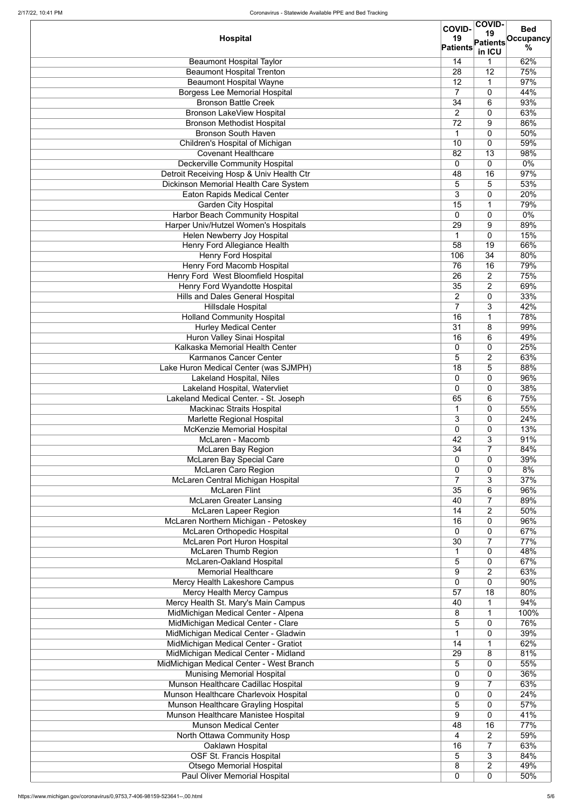|                                          | <b>COVID-</b>   | <b>COVID-</b>         | <b>Bed</b> |
|------------------------------------------|-----------------|-----------------------|------------|
| <b>Hospital</b>                          | 19              | 19<br><b>Patients</b> | Occupancy  |
|                                          | <b>Patients</b> | in ICU                | %          |
| <b>Beaumont Hospital Taylor</b>          | 14              |                       | 62%        |
| <b>Beaumont Hospital Trenton</b>         | 28              | 12                    | 75%        |
| <b>Beaumont Hospital Wayne</b>           | 12              | 1                     | 97%        |
| <b>Borgess Lee Memorial Hospital</b>     | 7               | $\overline{0}$        | 44%        |
| <b>Bronson Battle Creek</b>              | 34              | 6                     | 93%        |
| <b>Bronson LakeView Hospital</b>         | $\overline{2}$  | $\overline{0}$        | 63%        |
| <b>Bronson Methodist Hospital</b>        | 72              | 9                     | 86%        |
| <b>Bronson South Haven</b>               | 1               | $\overline{0}$        | 50%        |
| Children's Hospital of Michigan          | 10              | $\mathbf 0$           | 59%        |
| <b>Covenant Healthcare</b>               | 82              | 13                    | 98%        |
| <b>Deckerville Community Hospital</b>    | 0               | $\overline{0}$        | 0%         |
| Detroit Receiving Hosp & Univ Health Ctr | 48              | 16                    | 97%        |
| Dickinson Memorial Health Care System    | 5               | 5                     | 53%        |
| <b>Eaton Rapids Medical Center</b>       | 3               | $\overline{0}$        | 20%        |
| <b>Garden City Hospital</b>              | 15              | 1                     | 79%        |
| <b>Harbor Beach Community Hospital</b>   | $\overline{0}$  | $\mathbf{0}$          | $0\%$      |
| Harper Univ/Hutzel Women's Hospitals     | 29              | 9                     | 89%        |
| Helen Newberry Joy Hospital              | 1               | $\mathbf 0$           | 15%        |
| Henry Ford Allegiance Health             | $\overline{58}$ | 19                    | 66%        |
| <b>Henry Ford Hospital</b>               | 106             | $\overline{34}$       | 80%        |
| <b>Henry Ford Macomb Hospital</b>        | 76              | 16                    | 79%        |
| Henry Ford West Bloomfield Hospital      | 26              | $\overline{2}$        | 75%        |
| <b>Henry Ford Wyandotte Hospital</b>     | $\overline{35}$ | $\overline{2}$        | 69%        |
| <b>Hills and Dales General Hospital</b>  | $\overline{2}$  | $\overline{0}$        | 33%        |
| <b>Hillsdale Hospital</b>                | $\overline{7}$  | 3                     | 42%        |
| <b>Holland Community Hospital</b>        | 16              |                       | 78%        |
| <b>Hurley Medical Center</b>             | $\overline{31}$ | 8                     | 99%        |
| Huron Valley Sinai Hospital              | 16              | 6                     | 49%        |
| Kalkaska Memorial Health Center          | 0               | $\mathbf 0$           | 25%        |
| <b>Karmanos Cancer Center</b>            | 5               | $\overline{2}$        | 63%        |
| Lake Huron Medical Center (was SJMPH)    | 18              | 5                     | 88%        |
| Lakeland Hospital, Niles                 | 0               | $\mathbf 0$           | 96%        |
| Lakeland Hospital, Watervliet            | 0               | $\overline{0}$        | 38%        |
| Lakeland Medical Center. - St. Joseph    | 65              | 6                     | 75%        |
| <b>Mackinac Straits Hospital</b>         | 1               | $\mathbf 0$           | 55%        |
| Marlette Regional Hospital               | 3               | $\overline{0}$        | 24%        |
| <b>McKenzie Memorial Hospital</b>        | 0               | $\overline{0}$        | 13%        |
| McLaren - Macomb                         | 42              | 3                     | 91%        |
| <b>McLaren Bay Region</b>                | 34              | $\overline{7}$        | 84%        |
| McLaren Bay Special Care                 | 0               | $\mathbf 0$           | 39%        |
| <b>McLaren Caro Region</b>               | 0               | $\overline{0}$        | 8%         |
| McLaren Central Michigan Hospital        | $\overline{7}$  | 3                     | 37%        |
| <b>McLaren Flint</b>                     | 35              | 6                     | 96%        |
| <b>McLaren Greater Lansing</b>           | 40              | $\overline{7}$        | 89%        |
| <b>McLaren Lapeer Region</b>             | 14              | $\overline{2}$        | 50%        |
| McLaren Northern Michigan - Petoskey     | 16              | $\mathbf 0$           | 96%        |
| <b>McLaren Orthopedic Hospital</b>       | 0               | $\overline{0}$        | 67%        |
| <b>McLaren Port Huron Hospital</b>       | 30              | $\overline{7}$        | 77%        |
| <b>McLaren Thumb Region</b>              | 1               | $\mathbf{0}$          | 48%        |
| McLaren-Oakland Hospital                 | 5               | $\mathbf{0}$          | 67%        |
| <b>Memorial Healthcare</b>               | 9               | $\overline{2}$        | 63%        |
| Mercy Health Lakeshore Campus            | 0               | $\mathbf 0$           | 90%        |
| <b>Mercy Health Mercy Campus</b>         | 57              | 18                    | 80%        |
| Mercy Health St. Mary's Main Campus      | 40              | 1                     | 94%        |
| MidMichigan Medical Center - Alpena      | 8               | 1                     | 100%       |
| MidMichigan Medical Center - Clare       | 5               | 0                     | 76%        |
| MidMichigan Medical Center - Gladwin     | $\overline{A}$  | $\mathbf 0$           | 39%        |
| MidMichigan Medical Center - Gratiot     | 14              | 1                     | 62%        |
| MidMichigan Medical Center - Midland     | 29              | 8                     | 81%        |
| MidMichigan Medical Center - West Branch | 5               | $\mathbf 0$           | 55%        |
| <b>Munising Memorial Hospital</b>        | 0               | 0                     | 36%        |
| Munson Healthcare Cadillac Hospital      | 9               | $\overline{7}$        | 63%        |
| Munson Healthcare Charlevoix Hospital    | 0               | $\overline{0}$        | 24%        |
| Munson Healthcare Grayling Hospital      | 5               | $\overline{0}$        | 57%        |
| Munson Healthcare Manistee Hospital      | 9               | $\overline{0}$        | 41%        |
| <b>Munson Medical Center</b>             | 48              | 16                    | 77%        |
| North Ottawa Community Hosp              | 4               | $\overline{2}$        | 59%        |
| Oaklawn Hospital                         | 16              | $\overline{7}$        | 63%        |
| <b>OSF St. Francis Hospital</b>          | 5               | 3                     | 84%        |
| <b>Otsego Memorial Hospital</b>          | 8               | $\overline{2}$        | 49%        |
| <b>Paul Oliver Memorial Hospital</b>     | 0               | $\mathbf 0$           | 50%        |